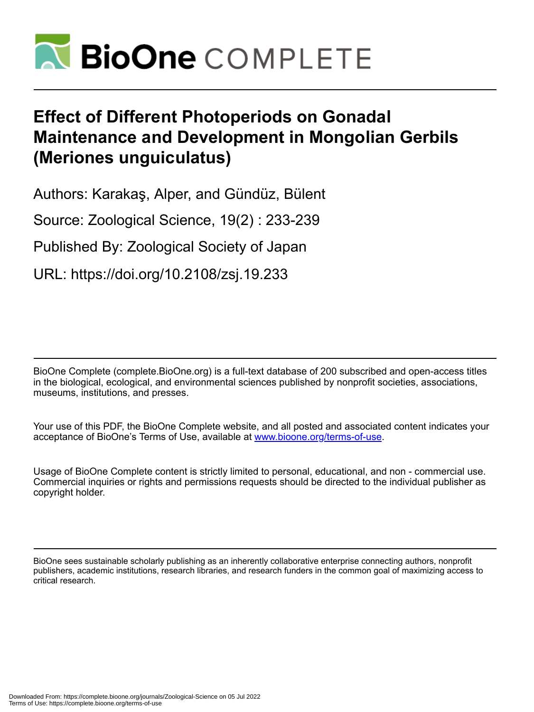

# **Effect of Different Photoperiods on Gonadal Maintenance and Development in Mongolian Gerbils (Meriones unguiculatus)**

Authors: Karakaş, Alper, and Gündüz, Bülent

Source: Zoological Science, 19(2) : 233-239

Published By: Zoological Society of Japan

URL: https://doi.org/10.2108/zsj.19.233

BioOne Complete (complete.BioOne.org) is a full-text database of 200 subscribed and open-access titles in the biological, ecological, and environmental sciences published by nonprofit societies, associations, museums, institutions, and presses.

Your use of this PDF, the BioOne Complete website, and all posted and associated content indicates your acceptance of BioOne's Terms of Use, available at www.bioone.org/terms-of-use.

Usage of BioOne Complete content is strictly limited to personal, educational, and non - commercial use. Commercial inquiries or rights and permissions requests should be directed to the individual publisher as copyright holder.

BioOne sees sustainable scholarly publishing as an inherently collaborative enterprise connecting authors, nonprofit publishers, academic institutions, research libraries, and research funders in the common goal of maximizing access to critical research.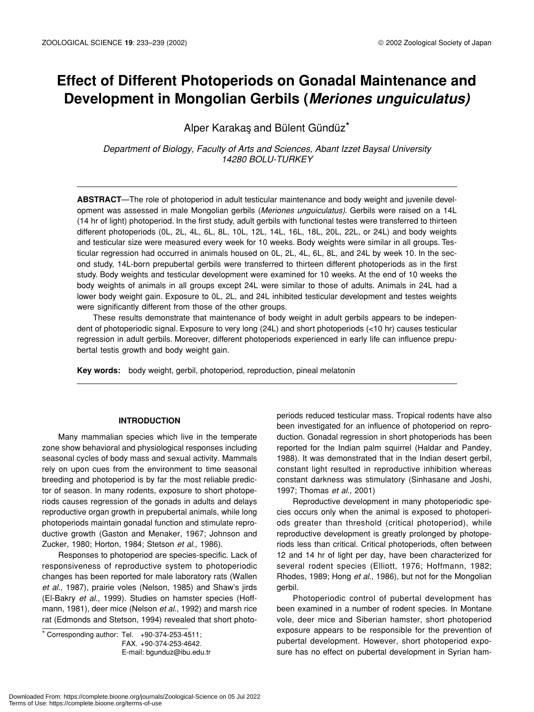## **Effect of Different Photoperiods on Gonadal Maintenance and Development in Mongolian Gerbils (***Meriones unguiculatus)*

Alper Karakas and Bülent Gündüz<sup>\*</sup>

*Department of Biology, Faculty of Arts and Sciences, Abant Izzet Baysal University 14280 BOLU-TURKEY*

**ABSTRACT**—The role of photoperiod in adult testicular maintenance and body weight and juvenile development was assessed in male Mongolian gerbils (*Meriones unguiculatus)*. Gerbils were raised on a 14L (14 hr of light) photoperiod. In the first study, adult gerbils with functional testes were transferred to thirteen different photoperiods (0L, 2L, 4L, 6L, 8L, 10L, 12L, 14L, 16L, 18L, 20L, 22L, or 24L) and body weights and testicular size were measured every week for 10 weeks. Body weights were similar in all groups. Testicular regression had occurred in animals housed on 0L, 2L, 4L, 6L, 8L, and 24L by week 10. In the second study, 14L-born prepubertal gerbils were transferred to thirteen different photoperiods as in the first study. Body weights and testicular development were examined for 10 weeks. At the end of 10 weeks the body weights of animals in all groups except 24L were similar to those of adults. Animals in 24L had a lower body weight gain. Exposure to 0L, 2L, and 24L inhibited testicular development and testes weights were significantly different from those of the other groups.

These results demonstrate that maintenance of body weight in adult gerbils appears to be independent of photoperiodic signal. Exposure to very long (24L) and short photoperiods (<10 hr) causes testicular regression in adult gerbils. Moreover, different photoperiods experienced in early life can influence prepubertal testis growth and body weight gain.

**Key words:** body weight, gerbil, photoperiod, reproduction, pineal melatonin

#### **INTRODUCTION**

Many mammalian species which live in the temperate zone show behavioral and physiological responses including seasonal cycles of body mass and sexual activity. Mammals rely on upon cues from the environment to time seasonal breeding and photoperiod is by far the most reliable predictor of season. In many rodents, exposure to short photoperiods causes regression of the gonads in adults and delays reproductive organ growth in prepubertal animals, while long photoperiods maintain gonadal function and stimulate reproductive growth (Gaston and Menaker, 1967; Johnson and Zucker, 1980; Horton, 1984; Stetson *et al*., 1986).

Responses to photoperiod are species-specific. Lack of responsiveness of reproductive system to photoperiodic changes has been reported for male laboratory rats (Wallen *et al*., 1987), prairie voles (Nelson, 1985) and Shaw's jirds (El-Bakry *et al*., 1999). Studies on hamster species (Hoffmann, 1981), deer mice (Nelson *et al*., 1992) and marsh rice rat (Edmonds and Stetson, 1994) revealed that short photo-

 $*$  Corresponding author: Tel.  $+90-374-253-4511$ ; FAX. +90-374-253-4642. E-mail: bgunduz@ibu.edu.tr periods reduced testicular mass. Tropical rodents have also been investigated for an influence of photoperiod on reproduction. Gonadal regression in short photoperiods has been reported for the Indian palm squirrel (Haldar and Pandey, 1988). It was demonstrated that in the Indian desert gerbil, constant light resulted in reproductive inhibition whereas constant darkness was stimulatory (Sinhasane and Joshi, 1997; Thomas *et al*., 2001)

Reproductive development in many photoperiodic species occurs only when the animal is exposed to photoperiods greater than threshold (critical photoperiod), while reproductive development is greatly prolonged by photoperiods less than critical. Critical photoperiods, often between 12 and 14 hr of light per day, have been characterized for several rodent species (Elliott, 1976; Hoffmann, 1982; Rhodes, 1989; Hong *et al*., 1986), but not for the Mongolian gerbil.

Photoperiodic control of pubertal development has been examined in a number of rodent species. In Montane vole, deer mice and Siberian hamster, short photoperiod exposure appears to be responsible for the prevention of pubertal development. However, short photoperiod exposure has no effect on pubertal development in Syrian ham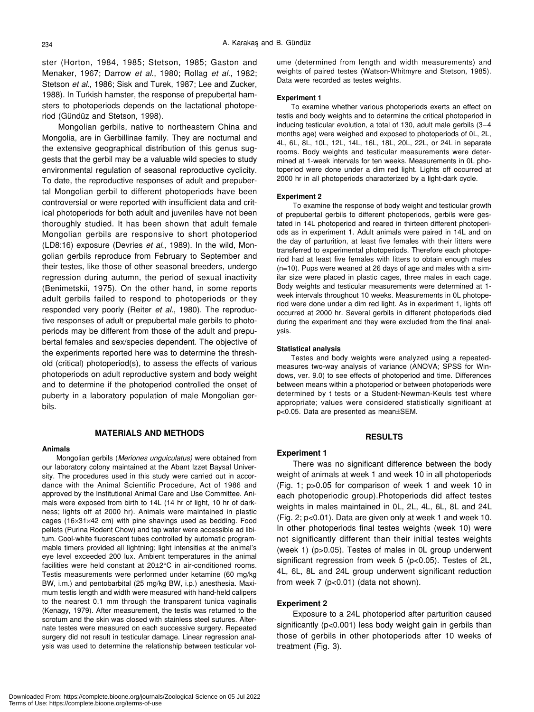ster (Horton, 1984, 1985; Stetson, 1985; Gaston and Menaker, 1967; Darrow *et al*., 1980; Rollag *et al*., 1982; Stetson *et al*., 1986; Sisk and Turek, 1987; Lee and Zucker, 1988). In Turkish hamster, the response of prepubertal hamsters to photoperiods depends on the lactational photoperiod (Gündüz and Stetson, 1998).

Mongolian gerbils, native to northeastern China and Mongolia, are in Gerbillinae family. They are nocturnal and the extensive geographical distribution of this genus suggests that the gerbil may be a valuable wild species to study environmental regulation of seasonal reproductive cyclicity. To date, the reproductive responses of adult and prepubertal Mongolian gerbil to different photoperiods have been controversial or were reported with insufficient data and critical photoperiods for both adult and juveniles have not been thoroughly studied. It has been shown that adult female Mongolian gerbils are responsive to short photoperiod (LD8:16) exposure (Devries *et al*., 1989). In the wild, Mongolian gerbils reproduce from February to September and their testes, like those of other seasonal breeders, undergo regression during autumn, the period of sexual inactivity (Benimetskii, 1975). On the other hand, in some reports adult gerbils failed to respond to photoperiods or they responded very poorly (Reiter *et al*., 1980). The reproductive responses of adult or prepubertal male gerbils to photoperiods may be different from those of the adult and prepubertal females and sex/species dependent. The objective of the experiments reported here was to determine the threshold (critical) photoperiod(s), to assess the effects of various photoperiods on adult reproductive system and body weight and to determine if the photoperiod controlled the onset of puberty in a laboratory population of male Mongolian gerbils.

#### **MATERIALS AND METHODS**

#### **Animals**

Mongolian gerbils (*Meriones unguiculatus)* were obtained from our laboratory colony maintained at the Abant Izzet Baysal University. The procedures used in this study were carried out in accordance with the Animal Scientific Procedure, Act of 1986 and approved by the Institutional Animal Care and Use Committee. Animals were exposed from birth to 14L (14 hr of light, 10 hr of darkness; lights off at 2000 hr). Animals were maintained in plastic cages (16×31×42 cm) with pine shavings used as bedding. Food pellets (Purina Rodent Chow) and tap water were accessible ad libitum. Cool-white fluorescent tubes controlled by automatic programmable timers provided all lightning; light intensities at the animal's eye level exceeded 200 lux. Ambient temperatures in the animal facilities were held constant at 20±2°C in air-conditioned rooms. Testis measurements were performed under ketamine (60 mg/kg BW, i.m.) and pentobarbital (25 mg/kg BW, i.p.) anesthesia. Maximum testis length and width were measured with hand-held calipers to the nearest 0.1 mm through the transparent tunica vaginalis (Kenagy, 1979). After measurement, the testis was returned to the scrotum and the skin was closed with stainless steel sutures. Alternate testes were measured on each successive surgery. Repeated surgery did not result in testicular damage. Linear regression analysis was used to determine the relationship between testicular volume (determined from length and width measurements) and weights of paired testes (Watson-Whitmyre and Stetson, 1985). Data were recorded as testes weights.

#### **Experiment 1**

To examine whether various photoperiods exerts an effect on testis and body weights and to determine the critical photoperiod in inducing testicular evolution, a total of 130, adult male gerbils (3–4 months age) were weighed and exposed to photoperiods of 0L, 2L, 4L, 6L, 8L, 10L, 12L, 14L, 16L, 18L, 20L, 22L, or 24L in separate rooms. Body weights and testicular measurements were determined at 1-week intervals for ten weeks. Measurements in 0L photoperiod were done under a dim red light. Lights off occurred at 2000 hr in all photoperiods characterized by a light-dark cycle.

#### **Experiment 2**

To examine the response of body weight and testicular growth of prepubertal gerbils to different photoperiods, gerbils were gestated in 14L photoperiod and reared in thirteen different photoperiods as in experiment 1. Adult animals were paired in 14L and on the day of parturition, at least five females with their litters were transferred to experimental photoperiods. Therefore each photoperiod had at least five females with litters to obtain enough males (n=10). Pups were weaned at 26 days of age and males with a similar size were placed in plastic cages, three males in each cage. Body weights and testicular measurements were determined at 1 week intervals throughout 10 weeks. Measurements in 0L photoperiod were done under a dim red light. As in experiment 1, lights off occurred at 2000 hr. Several gerbils in different photoperiods died during the experiment and they were excluded from the final analysis.

#### **Statistical analysis**

Testes and body weights were analyzed using a repeatedmeasures two-way analysis of variance (ANOVA; SPSS for Windows, ver. 9.0) to see effects of photoperiod and time. Differences between means within a photoperiod or between photoperiods were determined by t tests or a Student-Newman-Keuls test where appropriate; values were considered statistically significant at p<0.05. Data are presented as mean±SEM.

#### **RESULTS**

#### **Experiment 1**

There was no significant difference between the body weight of animals at week 1 and week 10 in all photoperiods (Fig. 1; p>0.05 for comparison of week 1 and week 10 in each photoperiodic group).Photoperiods did affect testes weights in males maintained in 0L, 2L, 4L, 6L, 8L and 24L (Fig. 2; p<0.01). Data are given only at week 1 and week 10. In other photoperiods final testes weights (week 10) were not significantly different than their initial testes weights (week 1) (p>0.05). Testes of males in 0L group underwent significant regression from week 5 (p<0.05). Testes of 2L, 4L, 6L, 8L and 24L group underwent significant reduction from week 7 (p<0.01) (data not shown).

#### **Experiment 2**

Exposure to a 24L photoperiod after parturition caused significantly (p<0.001) less body weight gain in gerbils than those of gerbils in other photoperiods after 10 weeks of treatment (Fig. 3).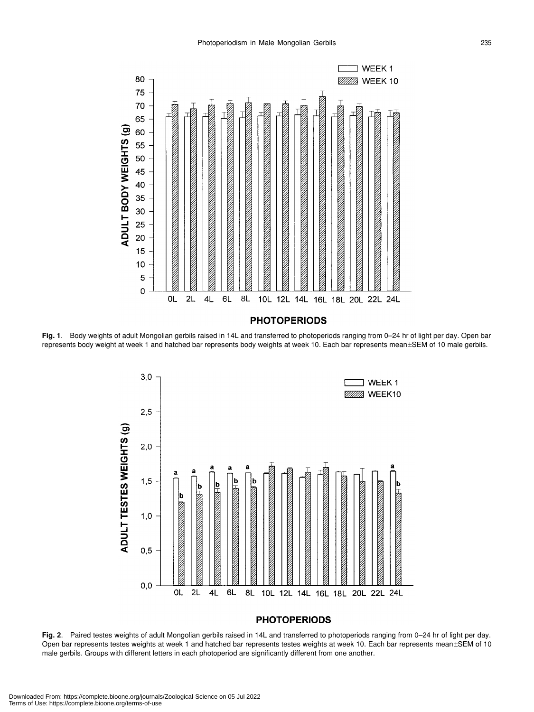

**Fig. 1**. Body weights of adult Mongolian gerbils raised in 14L and transferred to photoperiods ranging from 0–24 hr of light per day. Open bar represents body weight at week 1 and hatched bar represents body weights at week 10. Each bar represents mean±SEM of 10 male gerbils.



### **PHOTOPERIODS**

**Fig. 2**. Paired testes weights of adult Mongolian gerbils raised in 14L and transferred to photoperiods ranging from 0–24 hr of light per day. Open bar represents testes weights at week 1 and hatched bar represents testes weights at week 10. Each bar represents mean±SEM of 10 male gerbils. Groups with different letters in each photoperiod are significantly different from one another.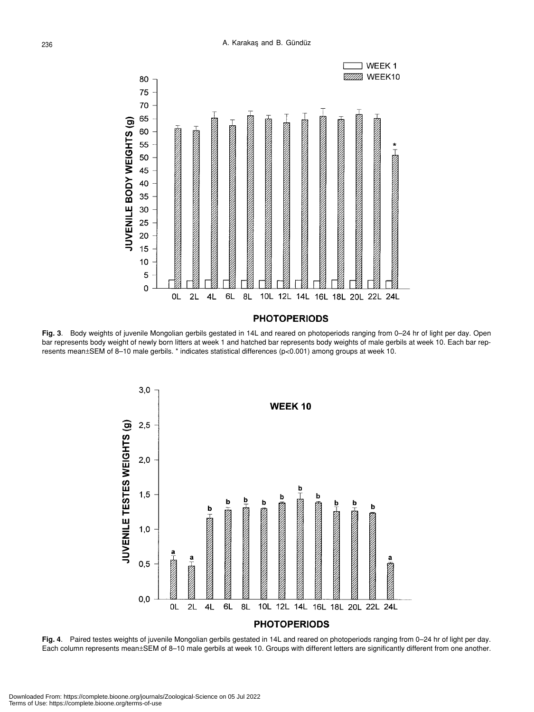

**Fig. 3**. Body weights of juvenile Mongolian gerbils gestated in 14L and reared on photoperiods ranging from 0–24 hr of light per day. Open bar represents body weight of newly born litters at week 1 and hatched bar represents body weights of male gerbils at week 10. Each bar represents mean±SEM of 8–10 male gerbils. \* indicates statistical differences (p<0.001) among groups at week 10.



**Fig. 4**. Paired testes weights of juvenile Mongolian gerbils gestated in 14L and reared on photoperiods ranging from 0–24 hr of light per day. Each column represents mean±SEM of 8–10 male gerbils at week 10. Groups with different letters are significantly different from one another.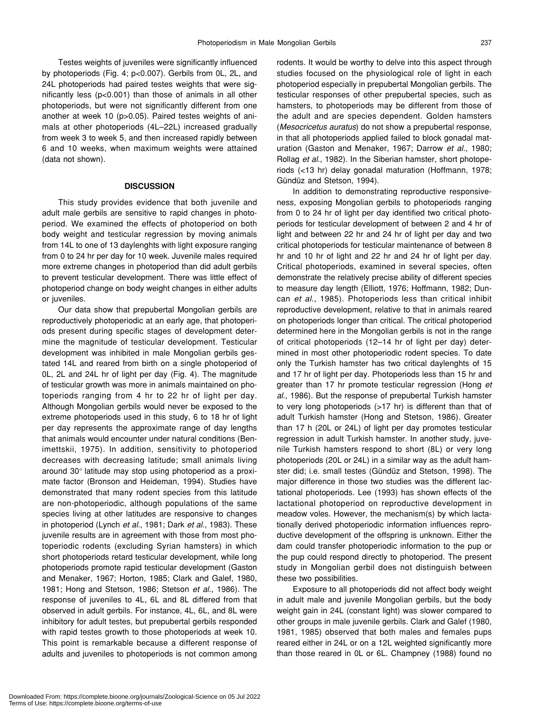Testes weights of juveniles were significantly influenced by photoperiods (Fig. 4; p<0.007). Gerbils from 0L, 2L, and 24L photoperiods had paired testes weights that were significantly less (p<0.001) than those of animals in all other photoperiods, but were not significantly different from one another at week 10 (p>0.05). Paired testes weights of animals at other photoperiods (4L–22L) increased gradually from week 3 to week 5, and then increased rapidly between 6 and 10 weeks, when maximum weights were attained (data not shown).

#### **DISCUSSION**

This study provides evidence that both juvenile and adult male gerbils are sensitive to rapid changes in photoperiod. We examined the effects of photoperiod on both body weight and testicular regression by moving animals from 14L to one of 13 daylenghts with light exposure ranging from 0 to 24 hr per day for 10 week. Juvenile males required more extreme changes in photoperiod than did adult gerbils to prevent testicular development. There was little effect of photoperiod change on body weight changes in either adults or juveniles.

Our data show that prepubertal Mongolian gerbils are reproductively photoperiodic at an early age, that photoperiods present during specific stages of development determine the magnitude of testicular development. Testicular development was inhibited in male Mongolian gerbils gestated 14L and reared from birth on a single photoperiod of 0L, 2L and 24L hr of light per day (Fig. 4). The magnitude of testicular growth was more in animals maintained on photoperiods ranging from 4 hr to 22 hr of light per day. Although Mongolian gerbils would never be exposed to the extreme photoperiods used in this study, 6 to 18 hr of light per day represents the approximate range of day lengths that animals would encounter under natural conditions (Benimettskii, 1975). In addition, sensitivity to photoperiod decreases with decreasing latitude; small animals living around 30° latitude may stop using photoperiod as a proximate factor (Bronson and Heideman, 1994). Studies have demonstrated that many rodent species from this latitude are non-photoperiodic, although populations of the same species living at other latitudes are responsive to changes in photoperiod (Lynch *et al*., 1981; Dark *et al*., 1983). These juvenile results are in agreement with those from most photoperiodic rodents (excluding Syrian hamsters) in which short photoperiods retard testicular development, while long photoperiods promote rapid testicular development (Gaston and Menaker, 1967; Horton, 1985; Clark and Galef, 1980, 1981; Hong and Stetson, 1986; Stetson *et al*., 1986). The response of juveniles to 4L, 6L and 8L differed from that observed in adult gerbils. For instance, 4L, 6L, and 8L were inhibitory for adult testes, but prepubertal gerbils responded with rapid testes growth to those photoperiods at week 10. This point is remarkable because a different response of adults and juveniles to photoperiods is not common among rodents. It would be worthy to delve into this aspect through studies focused on the physiological role of light in each photoperiod especially in prepubertal Mongolian gerbils. The testicular responses of other prepubertal species, such as hamsters, to photoperiods may be different from those of the adult and are species dependent. Golden hamsters (*Mesocricetus auratus*) do not show a prepubertal response, in that all photoperiods applied failed to block gonadal maturation (Gaston and Menaker, 1967; Darrow *et al*., 1980; Rollag *et al*., 1982). In the Siberian hamster, short photoperiods (<13 hr) delay gonadal maturation (Hoffmann, 1978; Gündüz and Stetson, 1994).

In addition to demonstrating reproductive responsiveness, exposing Mongolian gerbils to photoperiods ranging from 0 to 24 hr of light per day identified two critical photoperiods for testicular development of between 2 and 4 hr of light and between 22 hr and 24 hr of light per day and two critical photoperiods for testicular maintenance of between 8 hr and 10 hr of light and 22 hr and 24 hr of light per day. Critical photoperiods, examined in several species, often demonstrate the relatively precise ability of different species to measure day length (Elliott, 1976; Hoffmann, 1982; Duncan *et al*., 1985). Photoperiods less than critical inhibit reproductive development, relative to that in animals reared on photoperiods longer than critical. The critical photoperiod determined here in the Mongolian gerbils is not in the range of critical photoperiods (12–14 hr of light per day) determined in most other photoperiodic rodent species. To date only the Turkish hamster has two critical daylenghts of 15 and 17 hr of light per day. Photoperiods less than 15 hr and greater than 17 hr promote testicular regression (Hong *et al*., 1986). But the response of prepubertal Turkish hamster to very long photoperiods (>17 hr) is different than that of adult Turkish hamster (Hong and Stetson, 1986). Greater than 17 h (20L or 24L) of light per day promotes testicular regression in adult Turkish hamster. In another study, juvenile Turkish hamsters respond to short (8L) or very long photoperiods (20L or 24L) in a similar way as the adult hamster did; i.e. small testes (Gündüz and Stetson, 1998). The major difference in those two studies was the different lactational photoperiods. Lee (1993) has shown effects of the lactational photoperiod on reproductive development in meadow voles. However, the mechanism(s) by which lactationally derived photoperiodic information influences reproductive development of the offspring is unknown. Either the dam could transfer photoperiodic information to the pup or the pup could respond directly to photoperiod. The present study in Mongolian gerbil does not distinguish between these two possibilities.

Exposure to all photoperiods did not affect body weight in adult male and juvenile Mongolian gerbils, but the body weight gain in 24L (constant light) was slower compared to other groups in male juvenile gerbils. Clark and Galef (1980, 1981, 1985) observed that both males and females pups reared either in 24L or on a 12L weighted significantly more than those reared in 0L or 6L. Champney (1988) found no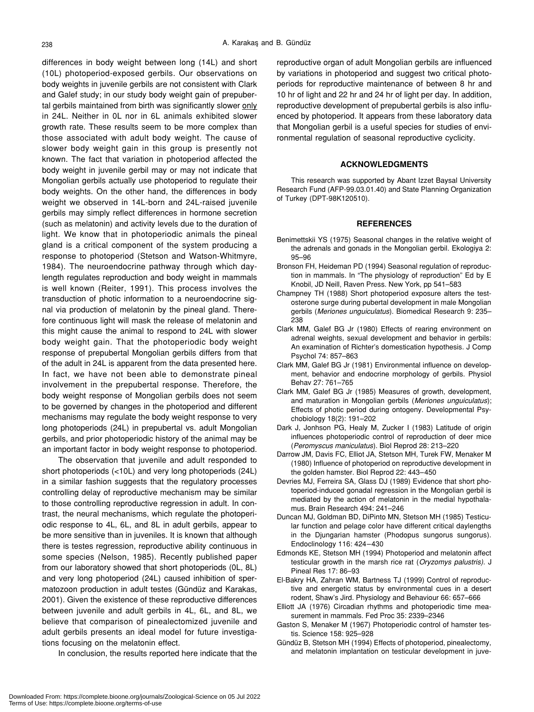differences in body weight between long (14L) and short (10L) photoperiod-exposed gerbils. Our observations on body weights in juvenile gerbils are not consistent with Clark and Galef study; in our study body weight gain of prepubertal gerbils maintained from birth was significantly slower only in 24L. Neither in 0L nor in 6L animals exhibited slower growth rate. These results seem to be more complex than those associated with adult body weight. The cause of slower body weight gain in this group is presently not known. The fact that variation in photoperiod affected the body weight in juvenile gerbil may or may not indicate that Mongolian gerbils actually use photoperiod to regulate their body weights. On the other hand, the differences in body weight we observed in 14L-born and 24L-raised juvenile gerbils may simply reflect differences in hormone secretion (such as melatonin) and activity levels due to the duration of light. We know that in photoperiodic animals the pineal gland is a critical component of the system producing a response to photoperiod (Stetson and Watson-Whitmyre, 1984). The neuroendocrine pathway through which daylength regulates reproduction and body weight in mammals is well known (Reiter, 1991). This process involves the transduction of photic information to a neuroendocrine signal via production of melatonin by the pineal gland. Therefore continuous light will mask the release of melatonin and this might cause the animal to respond to 24L with slower body weight gain. That the photoperiodic body weight response of prepubertal Mongolian gerbils differs from that of the adult in 24L is apparent from the data presented here. In fact, we have not been able to demonstrate pineal involvement in the prepubertal response. Therefore, the body weight response of Mongolian gerbils does not seem to be governed by changes in the photoperiod and different mechanisms may regulate the body weight response to very long photoperiods (24L) in prepubertal vs. adult Mongolian gerbils, and prior photoperiodic history of the animal may be an important factor in body weight response to photoperiod.

The observation that juvenile and adult responded to short photoperiods (<10L) and very long photoperiods (24L) in a similar fashion suggests that the regulatory processes controlling delay of reproductive mechanism may be similar to those controlling reproductive regression in adult. In contrast, the neural mechanisms, which regulate the photoperiodic response to 4L, 6L, and 8L in adult gerbils, appear to be more sensitive than in juveniles. It is known that although there is testes regression, reproductive ability continuous in some species (Nelson, 1985). Recently published paper from our laboratory showed that short photoperiods (0L, 8L) and very long photoperiod (24L) caused inhibition of spermatozoon production in adult testes (Gündüz and Karakas, 2001). Given the existence of these reproductive differences between juvenile and adult gerbils in 4L, 6L, and 8L, we believe that comparison of pinealectomized juvenile and adult gerbils presents an ideal model for future investigations focusing on the melatonin effect.

In conclusion, the results reported here indicate that the

reproductive organ of adult Mongolian gerbils are influenced by variations in photoperiod and suggest two critical photoperiods for reproductive maintenance of between 8 hr and 10 hr of light and 22 hr and 24 hr of light per day. In addition, reproductive development of prepubertal gerbils is also influenced by photoperiod. It appears from these laboratory data that Mongolian gerbil is a useful species for studies of environmental regulation of seasonal reproductive cyclicity.

#### **ACKNOWLEDGMENTS**

This research was supported by Abant Izzet Baysal University Research Fund (AFP-99.03.01.40) and State Planning Organization of Turkey (DPT-98K120510).

#### **REFERENCES**

- Benimettskii YS (1975) Seasonal changes in the relative weight of the adrenals and gonads in the Mongolian gerbil. Ekologiya 2: 95–96
- Bronson FH, Heideman PD (1994) Seasonal regulation of reproduction in mammals. In "The physiology of reproduction" Ed by E Knobil, JD Neill, Raven Press. New York, pp 541–583
- Champney TH (1988) Short photoperiod exposure alters the testosterone surge during pubertal development in male Mongolian gerbils (*Meriones unguiculatus*). Biomedical Research 9: 235– 238
- Clark MM, Galef BG Jr (1980) Effects of rearing environment on adrenal weights, sexual development and behavior in gerbils: An examination of Richter's domestication hypothesis. J Comp Psychol 74: 857–863
- Clark MM, Galef BG Jr (1981) Environmental influence on development, behavior and endocrine morphology of gerbils. Physiol Behav 27: 761–765
- Clark MM, Galef BG Jr (1985) Measures of growth, development, and maturation in Mongolian gerbils (*Meriones unguiculatus*); Effects of photic period during ontogeny. Developmental Psychobiology 18(2): 191–202
- Dark J, Jonhson PG, Healy M, Zucker I (1983) Latitude of origin influences photoperiodic control of reproduction of deer mice (*Peromyscus maniculatus*). Biol Reprod 28: 213–220
- Darrow JM, Davis FC, Elliot JA, Stetson MH, Turek FW, Menaker M (1980) Influence of photoperiod on reproductive development in the golden hamster. Biol Reprod 22: 443–450
- Devries MJ, Ferreira SA, Glass DJ (1989) Evidence that short photoperiod-induced gonadal regression in the Mongolian gerbil is mediated by the action of melatonin in the medial hypothalamus. Brain Research 494: 241–246
- Duncan MJ, Goldman BD, DiPinto MN, Stetson MH (1985) Testicular function and pelage color have different critical daylengths in the Djungarian hamster (Phodopus sungorus sungorus). Endoclinology 116: 424–430
- Edmonds KE, Stetson MH (1994) Photoperiod and melatonin affect testicular growth in the marsh rice rat (*Oryzomys palustris)*. J Pineal Res 17: 86–93
- El-Bakry HA, Zahran WM, Bartness TJ (1999) Control of reproductive and energetic status by environmental cues in a desert rodent, Shaw's Jird. Physiology and Behaviour 66: 657–666
- Elliott JA (1976) Circadian rhythms and photoperiodic time measurement in mammals. Fed Proc 35: 2339–2346
- Gaston S, Menaker M (1967) Photoperiodic control of hamster testis. Science 158: 925–928
- Gündüz B, Stetson MH (1994) Effects of photoperiod, pinealectomy, and melatonin implantation on testicular development in juve-